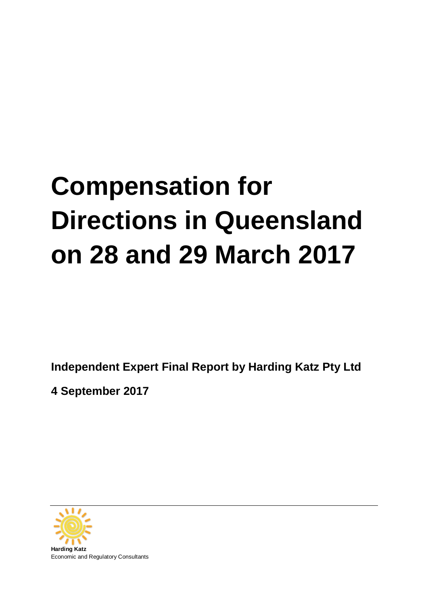# **Compensation for Directions in Queensland on 28 and 29 March 2017**

**Independent Expert Final Report by Harding Katz Pty Ltd** 

**4 September 2017**

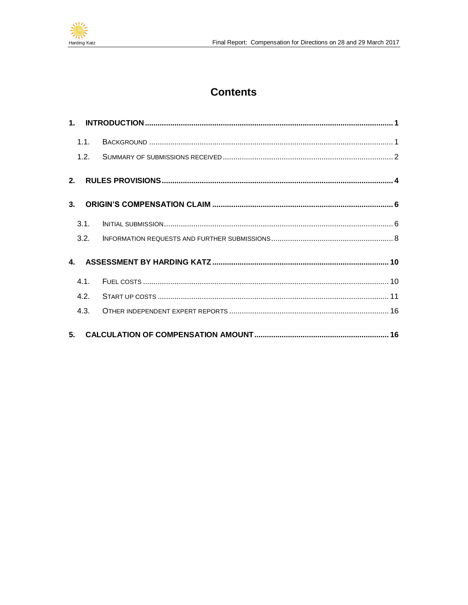

## **Contents**

|                | 1.1. |  |
|----------------|------|--|
|                |      |  |
|                |      |  |
| 3 <sub>1</sub> |      |  |
|                | 3.1. |  |
|                | 3.2. |  |
|                |      |  |
|                | 4.1. |  |
|                | 4.2. |  |
|                | 4.3. |  |
|                |      |  |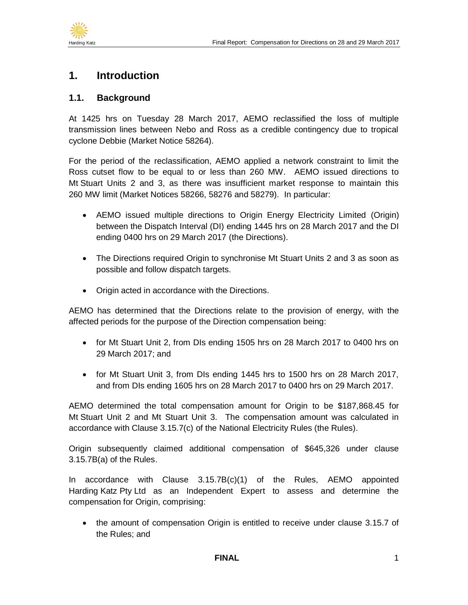

### <span id="page-2-0"></span>**1. Introduction**

#### <span id="page-2-1"></span>**1.1. Background**

At 1425 hrs on Tuesday 28 March 2017, AEMO reclassified the loss of multiple transmission lines between Nebo and Ross as a credible contingency due to tropical cyclone Debbie (Market Notice 58264).

For the period of the reclassification, AEMO applied a network constraint to limit the Ross cutset flow to be equal to or less than 260 MW. AEMO issued directions to Mt Stuart Units 2 and 3, as there was insufficient market response to maintain this 260 MW limit (Market Notices 58266, 58276 and 58279). In particular:

- AEMO issued multiple directions to Origin Energy Electricity Limited (Origin) between the Dispatch Interval (DI) ending 1445 hrs on 28 March 2017 and the DI ending 0400 hrs on 29 March 2017 (the Directions).
- The Directions required Origin to synchronise Mt Stuart Units 2 and 3 as soon as possible and follow dispatch targets.
- Origin acted in accordance with the Directions.

AEMO has determined that the Directions relate to the provision of energy, with the affected periods for the purpose of the Direction compensation being:

- for Mt Stuart Unit 2, from DIs ending 1505 hrs on 28 March 2017 to 0400 hrs on 29 March 2017; and
- for Mt Stuart Unit 3, from DIs ending 1445 hrs to 1500 hrs on 28 March 2017, and from DIs ending 1605 hrs on 28 March 2017 to 0400 hrs on 29 March 2017.

AEMO determined the total compensation amount for Origin to be \$187,868.45 for Mt Stuart Unit 2 and Mt Stuart Unit 3. The compensation amount was calculated in accordance with Clause 3.15.7(c) of the National Electricity Rules (the Rules).

Origin subsequently claimed additional compensation of \$645,326 under clause 3.15.7B(a) of the Rules.

In accordance with Clause 3.15.7B(c)(1) of the Rules, AEMO appointed Harding Katz Pty Ltd as an Independent Expert to assess and determine the compensation for Origin, comprising:

• the amount of compensation Origin is entitled to receive under clause 3.15.7 of the Rules; and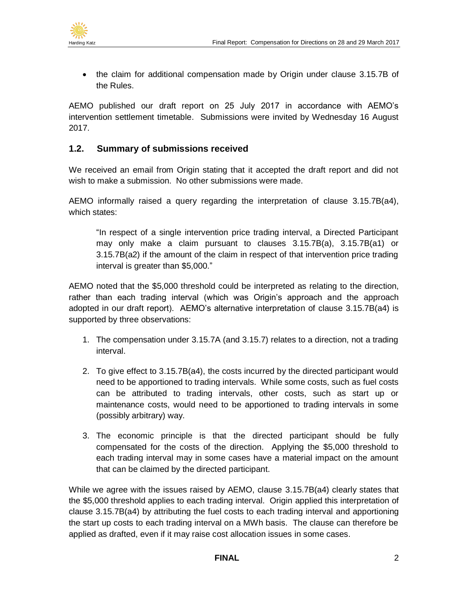

• the claim for additional compensation made by Origin under clause 3.15.7B of the Rules.

AEMO published our draft report on 25 July 2017 in accordance with AEMO's intervention settlement timetable. Submissions were invited by Wednesday 16 August 2017.

#### <span id="page-3-0"></span>**1.2. Summary of submissions received**

We received an email from Origin stating that it accepted the draft report and did not wish to make a submission. No other submissions were made.

AEMO informally raised a query regarding the interpretation of clause 3.15.7B(a4), which states:

"In respect of a single intervention price trading interval, a Directed Participant may only make a claim pursuant to clauses 3.15.7B(a), 3.15.7B(a1) or 3.15.7B(a2) if the amount of the claim in respect of that intervention price trading interval is greater than \$5,000."

AEMO noted that the \$5,000 threshold could be interpreted as relating to the direction, rather than each trading interval (which was Origin's approach and the approach adopted in our draft report). AEMO's alternative interpretation of clause 3.15.7B(a4) is supported by three observations:

- 1. The compensation under 3.15.7A (and 3.15.7) relates to a direction, not a trading interval.
- 2. To give effect to 3.15.7B(a4), the costs incurred by the directed participant would need to be apportioned to trading intervals. While some costs, such as fuel costs can be attributed to trading intervals, other costs, such as start up or maintenance costs, would need to be apportioned to trading intervals in some (possibly arbitrary) way.
- 3. The economic principle is that the directed participant should be fully compensated for the costs of the direction. Applying the \$5,000 threshold to each trading interval may in some cases have a material impact on the amount that can be claimed by the directed participant.

While we agree with the issues raised by AEMO, clause 3.15.7B(a4) clearly states that the \$5,000 threshold applies to each trading interval. Origin applied this interpretation of clause 3.15.7B(a4) by attributing the fuel costs to each trading interval and apportioning the start up costs to each trading interval on a MWh basis. The clause can therefore be applied as drafted, even if it may raise cost allocation issues in some cases.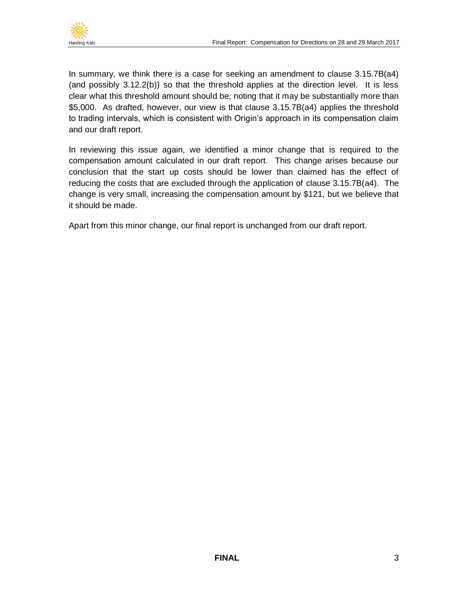

In summary, we think there is a case for seeking an amendment to clause 3.15.7B(a4) (and possibly 3.12.2(b)) so that the threshold applies at the direction level. It is less clear what this threshold amount should be, noting that it may be substantially more than \$5,000. As drafted, however, our view is that clause 3.15.7B(a4) applies the threshold to trading intervals, which is consistent with Origin's approach in its compensation claim and our draft report.

In reviewing this issue again, we identified a minor change that is required to the compensation amount calculated in our draft report. This change arises because our conclusion that the start up costs should be lower than claimed has the effect of reducing the costs that are excluded through the application of clause 3.15.7B(a4). The change is very small, increasing the compensation amount by \$121, but we believe that it should be made.

Apart from this minor change, our final report is unchanged from our draft report.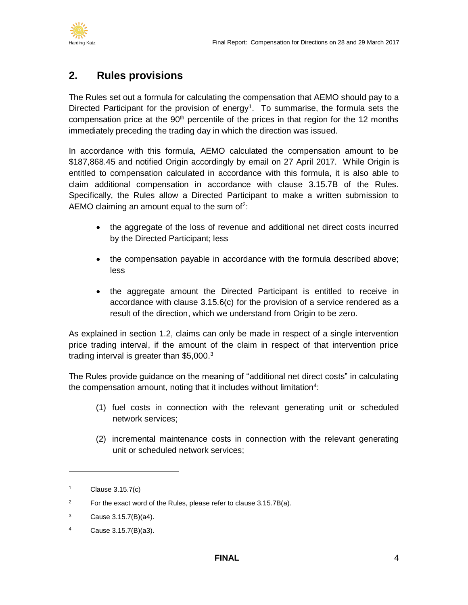

## <span id="page-5-0"></span>**2. Rules provisions**

The Rules set out a formula for calculating the compensation that AEMO should pay to a Directed Participant for the provision of energy<sup>1</sup>. To summarise, the formula sets the compensation price at the 90<sup>th</sup> percentile of the prices in that region for the 12 months immediately preceding the trading day in which the direction was issued.

In accordance with this formula, AEMO calculated the compensation amount to be \$187,868.45 and notified Origin accordingly by email on 27 April 2017. While Origin is entitled to compensation calculated in accordance with this formula, it is also able to claim additional compensation in accordance with clause 3.15.7B of the Rules. Specifically, the Rules allow a Directed Participant to make a written submission to AEMO claiming an amount equal to the sum of<sup>2</sup>:

- the aggregate of the loss of revenue and additional net direct costs incurred by the Directed Participant; less
- the compensation payable in accordance with the formula described above; less
- the aggregate amount the Directed Participant is entitled to receive in accordance with clause 3.15.6(c) for the provision of a service rendered as a result of the direction, which we understand from Origin to be zero.

As explained in section [1.2,](#page-3-0) claims can only be made in respect of a single intervention price trading interval, if the amount of the claim in respect of that intervention price trading interval is greater than \$5,000.<sup>3</sup>

The Rules provide guidance on the meaning of "additional net direct costs" in calculating the compensation amount, noting that it includes without limitation $4$ :

- (1) fuel costs in connection with the relevant generating unit or scheduled network services;
- (2) incremental maintenance costs in connection with the relevant generating unit or scheduled network services;

<sup>1</sup> Clause 3.15.7(c)

<sup>&</sup>lt;sup>2</sup> For the exact word of the Rules, please refer to clause  $3.15.7B(a)$ .

 $3$  Cause 3.15.7(B)(a4).

<sup>4</sup> Cause 3.15.7(B)(a3).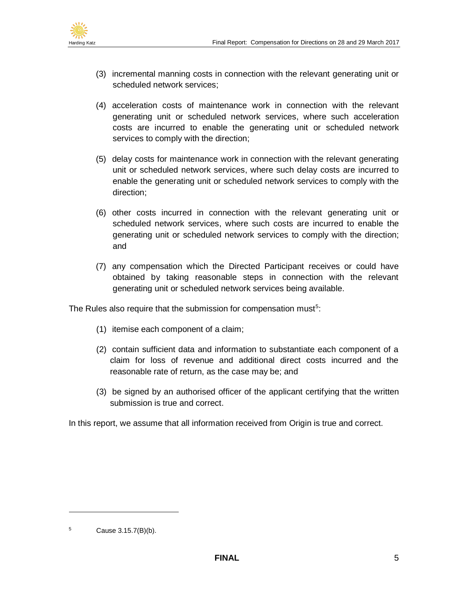

- (3) incremental manning costs in connection with the relevant generating unit or scheduled network services;
- (4) acceleration costs of maintenance work in connection with the relevant generating unit or scheduled network services, where such acceleration costs are incurred to enable the generating unit or scheduled network services to comply with the direction;
- (5) delay costs for maintenance work in connection with the relevant generating unit or scheduled network services, where such delay costs are incurred to enable the generating unit or scheduled network services to comply with the direction;
- (6) other costs incurred in connection with the relevant generating unit or scheduled network services, where such costs are incurred to enable the generating unit or scheduled network services to comply with the direction; and
- (7) any compensation which the Directed Participant receives or could have obtained by taking reasonable steps in connection with the relevant generating unit or scheduled network services being available.

The Rules also require that the submission for compensation must<sup>5</sup>:

- (1) itemise each component of a claim;
- (2) contain sufficient data and information to substantiate each component of a claim for loss of revenue and additional direct costs incurred and the reasonable rate of return, as the case may be; and
- (3) be signed by an authorised officer of the applicant certifying that the written submission is true and correct.

In this report, we assume that all information received from Origin is true and correct.

 $5$  Cause 3.15.7(B)(b).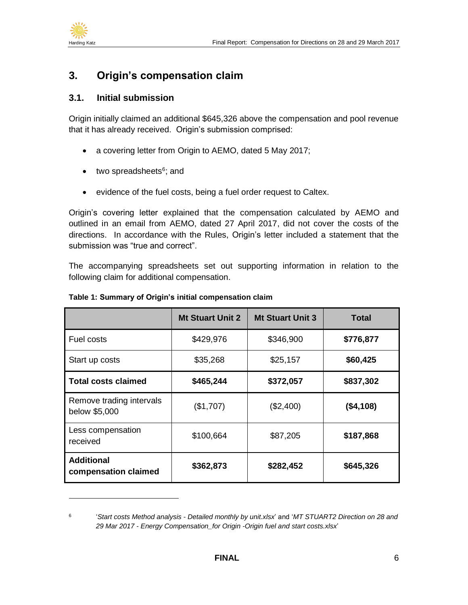

## <span id="page-7-0"></span>**3. Origin's compensation claim**

#### <span id="page-7-1"></span>**3.1. Initial submission**

Origin initially claimed an additional \$645,326 above the compensation and pool revenue that it has already received. Origin's submission comprised:

- a covering letter from Origin to AEMO, dated 5 May 2017;
- two spreadsheets<sup>6</sup>; and
- evidence of the fuel costs, being a fuel order request to Caltex.

Origin's covering letter explained that the compensation calculated by AEMO and outlined in an email from AEMO, dated 27 April 2017, did not cover the costs of the directions. In accordance with the Rules, Origin's letter included a statement that the submission was "true and correct".

The accompanying spreadsheets set out supporting information in relation to the following claim for additional compensation.

|                                           | <b>Mt Stuart Unit 2</b> | <b>Mt Stuart Unit 3</b> | <b>Total</b> |
|-------------------------------------------|-------------------------|-------------------------|--------------|
| Fuel costs                                | \$429,976               | \$346,900               | \$776,877    |
| Start up costs                            | \$35,268                | \$25,157                | \$60,425     |
| <b>Total costs claimed</b>                | \$465,244               | \$372,057               | \$837,302    |
| Remove trading intervals<br>below \$5,000 | (\$1,707)               | (\$2,400)               | (\$4,108)    |
| Less compensation<br>received             | \$100,664               | \$87,205                | \$187,868    |
| <b>Additional</b><br>compensation claimed | \$362,873               | \$282,452               | \$645,326    |

#### <span id="page-7-2"></span>**Table 1: Summary of Origin's initial compensation claim**

<sup>6</sup> '*Start costs Method analysis - Detailed monthly by unit.xlsx*' and '*MT STUART2 Direction on 28 and 29 Mar 2017 - Energy Compensation\_for Origin -Origin fuel and start costs.xlsx*'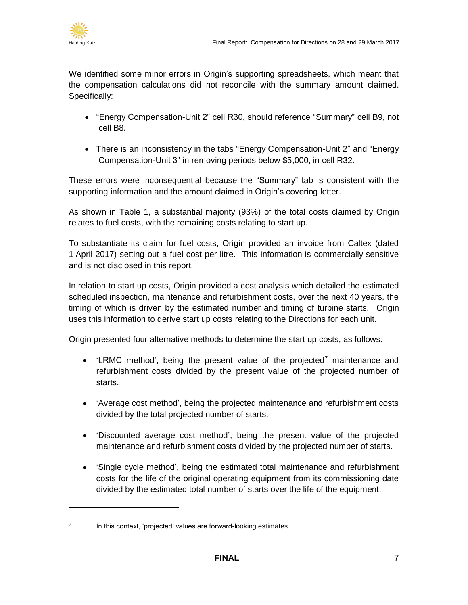

We identified some minor errors in Origin's supporting spreadsheets, which meant that the compensation calculations did not reconcile with the summary amount claimed. Specifically:

- "Energy Compensation-Unit 2" cell R30, should reference "Summary" cell B9, not cell B8.
- There is an inconsistency in the tabs "Energy Compensation-Unit 2" and "Energy" Compensation-Unit 3" in removing periods below \$5,000, in cell R32.

These errors were inconsequential because the "Summary" tab is consistent with the supporting information and the amount claimed in Origin's covering letter.

As shown in [Table 1,](#page-7-2) a substantial majority (93%) of the total costs claimed by Origin relates to fuel costs, with the remaining costs relating to start up.

To substantiate its claim for fuel costs, Origin provided an invoice from Caltex (dated 1 April 2017) setting out a fuel cost per litre. This information is commercially sensitive and is not disclosed in this report.

In relation to start up costs, Origin provided a cost analysis which detailed the estimated scheduled inspection, maintenance and refurbishment costs, over the next 40 years, the timing of which is driven by the estimated number and timing of turbine starts. Origin uses this information to derive start up costs relating to the Directions for each unit.

Origin presented four alternative methods to determine the start up costs, as follows:

- 'LRMC method', being the present value of the projected<sup>7</sup> maintenance and refurbishment costs divided by the present value of the projected number of starts.
- 'Average cost method', being the projected maintenance and refurbishment costs divided by the total projected number of starts.
- 'Discounted average cost method', being the present value of the projected maintenance and refurbishment costs divided by the projected number of starts.
- 'Single cycle method', being the estimated total maintenance and refurbishment costs for the life of the original operating equipment from its commissioning date divided by the estimated total number of starts over the life of the equipment.

<sup>7</sup> In this context, 'projected' values are forward-looking estimates.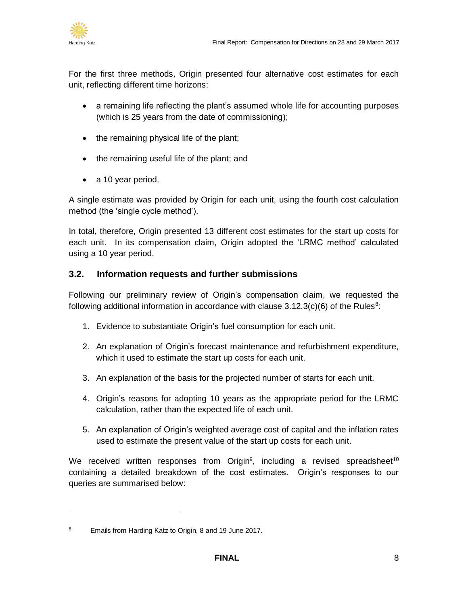

For the first three methods, Origin presented four alternative cost estimates for each unit, reflecting different time horizons:

- a remaining life reflecting the plant's assumed whole life for accounting purposes (which is 25 years from the date of commissioning);
- the remaining physical life of the plant;
- the remaining useful life of the plant; and
- a 10 year period.

A single estimate was provided by Origin for each unit, using the fourth cost calculation method (the 'single cycle method').

In total, therefore, Origin presented 13 different cost estimates for the start up costs for each unit. In its compensation claim, Origin adopted the 'LRMC method' calculated using a 10 year period.

#### <span id="page-9-0"></span>**3.2. Information requests and further submissions**

Following our preliminary review of Origin's compensation claim, we requested the following additional information in accordance with clause  $3.12.3(c)(6)$  of the Rules<sup>8</sup>:

- 1. Evidence to substantiate Origin's fuel consumption for each unit.
- 2. An explanation of Origin's forecast maintenance and refurbishment expenditure, which it used to estimate the start up costs for each unit.
- 3. An explanation of the basis for the projected number of starts for each unit.
- 4. Origin's reasons for adopting 10 years as the appropriate period for the LRMC calculation, rather than the expected life of each unit.
- 5. An explanation of Origin's weighted average cost of capital and the inflation rates used to estimate the present value of the start up costs for each unit.

We received written responses from Origin<sup>9</sup>, including a revised spreadsheet<sup>10</sup> containing a detailed breakdown of the cost estimates. Origin's responses to our queries are summarised below:

<sup>&</sup>lt;sup>8</sup> Emails from Harding Katz to Origin, 8 and 19 June 2017.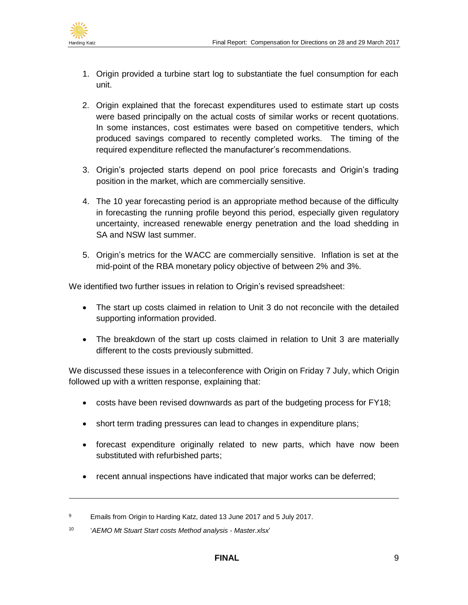

- 1. Origin provided a turbine start log to substantiate the fuel consumption for each unit.
- 2. Origin explained that the forecast expenditures used to estimate start up costs were based principally on the actual costs of similar works or recent quotations. In some instances, cost estimates were based on competitive tenders, which produced savings compared to recently completed works. The timing of the required expenditure reflected the manufacturer's recommendations.
- 3. Origin's projected starts depend on pool price forecasts and Origin's trading position in the market, which are commercially sensitive.
- 4. The 10 year forecasting period is an appropriate method because of the difficulty in forecasting the running profile beyond this period, especially given regulatory uncertainty, increased renewable energy penetration and the load shedding in SA and NSW last summer.
- 5. Origin's metrics for the WACC are commercially sensitive. Inflation is set at the mid-point of the RBA monetary policy objective of between 2% and 3%.

We identified two further issues in relation to Origin's revised spreadsheet:

- The start up costs claimed in relation to Unit 3 do not reconcile with the detailed supporting information provided.
- The breakdown of the start up costs claimed in relation to Unit 3 are materially different to the costs previously submitted.

We discussed these issues in a teleconference with Origin on Friday 7 July, which Origin followed up with a written response, explaining that:

- costs have been revised downwards as part of the budgeting process for FY18;
- short term trading pressures can lead to changes in expenditure plans;
- forecast expenditure originally related to new parts, which have now been substituted with refurbished parts;
- recent annual inspections have indicated that major works can be deferred;

<sup>&</sup>lt;sup>9</sup> Emails from Origin to Harding Katz, dated 13 June 2017 and 5 July 2017.

<sup>10</sup> '*AEMO Mt Stuart Start costs Method analysis - Master.xlsx*'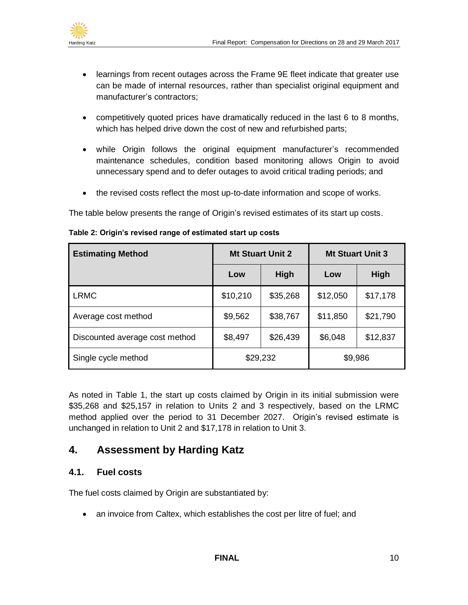

- learnings from recent outages across the Frame 9E fleet indicate that greater use can be made of internal resources, rather than specialist original equipment and manufacturer's contractors;
- competitively quoted prices have dramatically reduced in the last 6 to 8 months, which has helped drive down the cost of new and refurbished parts;
- while Origin follows the original equipment manufacturer's recommended maintenance schedules, condition based monitoring allows Origin to avoid unnecessary spend and to defer outages to avoid critical trading periods; and
- the revised costs reflect the most up-to-date information and scope of works.

The table below presents the range of Origin's revised estimates of its start up costs.

| <b>Estimating Method</b>       | <b>Mt Stuart Unit 2</b> |          | <b>Mt Stuart Unit 3</b> |          |
|--------------------------------|-------------------------|----------|-------------------------|----------|
|                                | Low                     | High     | Low                     | High     |
| <b>LRMC</b>                    | \$10,210                | \$35,268 | \$12,050                | \$17,178 |
| Average cost method            | \$9,562                 | \$38,767 | \$11,850                | \$21,790 |
| Discounted average cost method | \$8,497                 | \$26,439 | \$6,048                 | \$12,837 |
| Single cycle method            | \$29,232                |          | \$9,986                 |          |

#### **Table 2: Origin's revised range of estimated start up costs**

As noted in [Table 1,](#page-7-2) the start up costs claimed by Origin in its initial submission were \$35,268 and \$25,157 in relation to Units 2 and 3 respectively, based on the LRMC method applied over the period to 31 December 2027. Origin's revised estimate is unchanged in relation to Unit 2 and \$17,178 in relation to Unit 3.

## <span id="page-11-0"></span>**4. Assessment by Harding Katz**

#### <span id="page-11-1"></span>**4.1. Fuel costs**

The fuel costs claimed by Origin are substantiated by:

• an invoice from Caltex, which establishes the cost per litre of fuel; and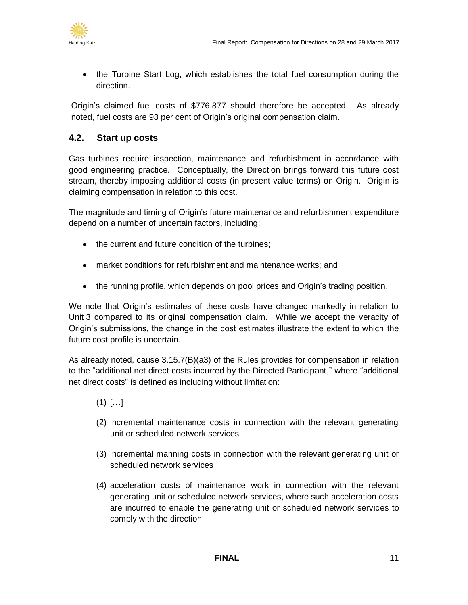

• the Turbine Start Log, which establishes the total fuel consumption during the direction.

Origin's claimed fuel costs of \$776,877 should therefore be accepted. As already noted, fuel costs are 93 per cent of Origin's original compensation claim.

#### <span id="page-12-0"></span>**4.2. Start up costs**

Gas turbines require inspection, maintenance and refurbishment in accordance with good engineering practice. Conceptually, the Direction brings forward this future cost stream, thereby imposing additional costs (in present value terms) on Origin. Origin is claiming compensation in relation to this cost.

The magnitude and timing of Origin's future maintenance and refurbishment expenditure depend on a number of uncertain factors, including:

- the current and future condition of the turbines;
- market conditions for refurbishment and maintenance works; and
- the running profile, which depends on pool prices and Origin's trading position.

We note that Origin's estimates of these costs have changed markedly in relation to Unit 3 compared to its original compensation claim. While we accept the veracity of Origin's submissions, the change in the cost estimates illustrate the extent to which the future cost profile is uncertain.

As already noted, cause 3.15.7(B)(a3) of the Rules provides for compensation in relation to the "additional net direct costs incurred by the Directed Participant," where "additional net direct costs" is defined as including without limitation:

- $(1)$   $[...]$
- (2) incremental maintenance costs in connection with the relevant generating unit or scheduled network services
- (3) incremental manning costs in connection with the relevant generating unit or scheduled network services
- (4) acceleration costs of maintenance work in connection with the relevant generating unit or scheduled network services, where such acceleration costs are incurred to enable the generating unit or scheduled network services to comply with the direction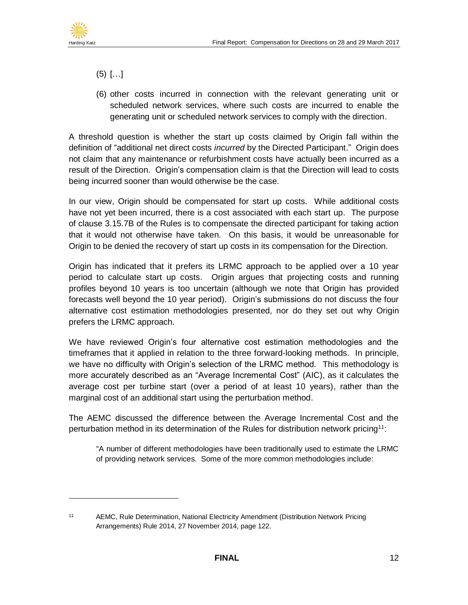

- (5) […]
- (6) other costs incurred in connection with the relevant generating unit or scheduled network services, where such costs are incurred to enable the generating unit or scheduled network services to comply with the direction.

A threshold question is whether the start up costs claimed by Origin fall within the definition of "additional net direct costs *incurred* by the Directed Participant." Origin does not claim that any maintenance or refurbishment costs have actually been incurred as a result of the Direction. Origin's compensation claim is that the Direction will lead to costs being incurred sooner than would otherwise be the case.

In our view, Origin should be compensated for start up costs. While additional costs have not yet been incurred, there is a cost associated with each start up. The purpose of clause 3.15.7B of the Rules is to compensate the directed participant for taking action that it would not otherwise have taken. On this basis, it would be unreasonable for Origin to be denied the recovery of start up costs in its compensation for the Direction.

Origin has indicated that it prefers its LRMC approach to be applied over a 10 year period to calculate start up costs. Origin argues that projecting costs and running profiles beyond 10 years is too uncertain (although we note that Origin has provided forecasts well beyond the 10 year period). Origin's submissions do not discuss the four alternative cost estimation methodologies presented, nor do they set out why Origin prefers the LRMC approach.

We have reviewed Origin's four alternative cost estimation methodologies and the timeframes that it applied in relation to the three forward-looking methods. In principle, we have no difficulty with Origin's selection of the LRMC method. This methodology is more accurately described as an "Average Incremental Cost" (AIC), as it calculates the average cost per turbine start (over a period of at least 10 years), rather than the marginal cost of an additional start using the perturbation method.

The AEMC discussed the difference between the Average Incremental Cost and the perturbation method in its determination of the Rules for distribution network pricing<sup>11</sup>:

"A number of different methodologies have been traditionally used to estimate the LRMC of providing network services. Some of the more common methodologies include:

<sup>11</sup> AEMC, Rule Determination, National Electricity Amendment (Distribution Network Pricing Arrangements) Rule 2014, 27 November 2014, page 122.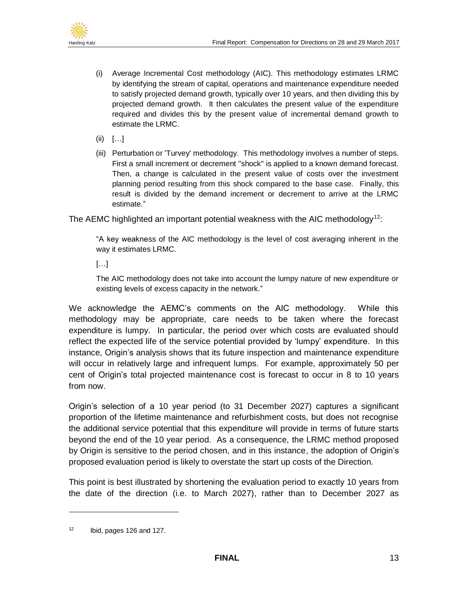

- (i) Average Incremental Cost methodology (AIC). This methodology estimates LRMC by identifying the stream of capital, operations and maintenance expenditure needed to satisfy projected demand growth, typically over 10 years, and then dividing this by projected demand growth. It then calculates the present value of the expenditure required and divides this by the present value of incremental demand growth to estimate the LRMC.
- (ii) […]
- (iii) Perturbation or 'Turvey' methodology. This methodology involves a number of steps. First a small increment or decrement "shock" is applied to a known demand forecast. Then, a change is calculated in the present value of costs over the investment planning period resulting from this shock compared to the base case. Finally, this result is divided by the demand increment or decrement to arrive at the LRMC estimate."

The AEMC highlighted an important potential weakness with the AIC methodology<sup>12</sup>:

"A key weakness of the AIC methodology is the level of cost averaging inherent in the way it estimates LRMC.

[…]

The AIC methodology does not take into account the lumpy nature of new expenditure or existing levels of excess capacity in the network."

We acknowledge the AEMC's comments on the AIC methodology. While this methodology may be appropriate, care needs to be taken where the forecast expenditure is lumpy. In particular, the period over which costs are evaluated should reflect the expected life of the service potential provided by 'lumpy' expenditure. In this instance, Origin's analysis shows that its future inspection and maintenance expenditure will occur in relatively large and infrequent lumps. For example, approximately 50 per cent of Origin's total projected maintenance cost is forecast to occur in 8 to 10 years from now.

Origin's selection of a 10 year period (to 31 December 2027) captures a significant proportion of the lifetime maintenance and refurbishment costs, but does not recognise the additional service potential that this expenditure will provide in terms of future starts beyond the end of the 10 year period. As a consequence, the LRMC method proposed by Origin is sensitive to the period chosen, and in this instance, the adoption of Origin's proposed evaluation period is likely to overstate the start up costs of the Direction.

This point is best illustrated by shortening the evaluation period to exactly 10 years from the date of the direction (i.e. to March 2027), rather than to December 2027 as

 $12$  Ibid, pages 126 and 127.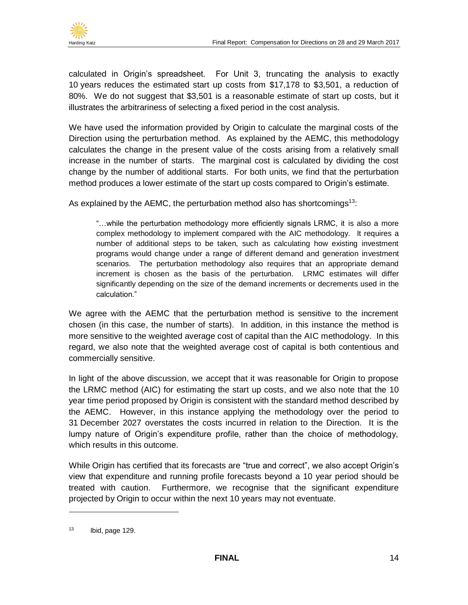

calculated in Origin's spreadsheet. For Unit 3, truncating the analysis to exactly 10 years reduces the estimated start up costs from \$17,178 to \$3,501, a reduction of 80%. We do not suggest that \$3,501 is a reasonable estimate of start up costs, but it illustrates the arbitrariness of selecting a fixed period in the cost analysis.

We have used the information provided by Origin to calculate the marginal costs of the Direction using the perturbation method. As explained by the AEMC, this methodology calculates the change in the present value of the costs arising from a relatively small increase in the number of starts. The marginal cost is calculated by dividing the cost change by the number of additional starts. For both units, we find that the perturbation method produces a lower estimate of the start up costs compared to Origin's estimate.

As explained by the AEMC, the perturbation method also has shortcomings<sup>13</sup>:

"…while the perturbation methodology more efficiently signals LRMC, it is also a more complex methodology to implement compared with the AIC methodology. It requires a number of additional steps to be taken, such as calculating how existing investment programs would change under a range of different demand and generation investment scenarios. The perturbation methodology also requires that an appropriate demand increment is chosen as the basis of the perturbation. LRMC estimates will differ significantly depending on the size of the demand increments or decrements used in the calculation."

We agree with the AEMC that the perturbation method is sensitive to the increment chosen (in this case, the number of starts). In addition, in this instance the method is more sensitive to the weighted average cost of capital than the AIC methodology. In this regard, we also note that the weighted average cost of capital is both contentious and commercially sensitive.

In light of the above discussion, we accept that it was reasonable for Origin to propose the LRMC method (AIC) for estimating the start up costs, and we also note that the 10 year time period proposed by Origin is consistent with the standard method described by the AEMC. However, in this instance applying the methodology over the period to 31 December 2027 overstates the costs incurred in relation to the Direction. It is the lumpy nature of Origin's expenditure profile, rather than the choice of methodology, which results in this outcome.

While Origin has certified that its forecasts are "true and correct", we also accept Origin's view that expenditure and running profile forecasts beyond a 10 year period should be treated with caution. Furthermore, we recognise that the significant expenditure projected by Origin to occur within the next 10 years may not eventuate.

 $13$  Ibid, page 129.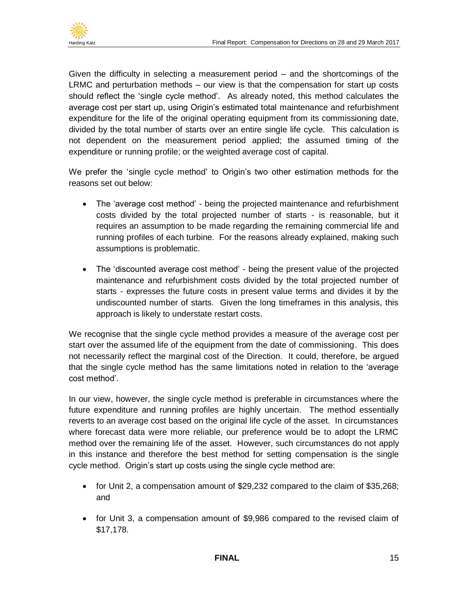

Given the difficulty in selecting a measurement period – and the shortcomings of the LRMC and perturbation methods – our view is that the compensation for start up costs should reflect the 'single cycle method'. As already noted, this method calculates the average cost per start up, using Origin's estimated total maintenance and refurbishment expenditure for the life of the original operating equipment from its commissioning date, divided by the total number of starts over an entire single life cycle. This calculation is not dependent on the measurement period applied; the assumed timing of the expenditure or running profile; or the weighted average cost of capital.

We prefer the 'single cycle method' to Origin's two other estimation methods for the reasons set out below:

- The 'average cost method' being the projected maintenance and refurbishment costs divided by the total projected number of starts - is reasonable, but it requires an assumption to be made regarding the remaining commercial life and running profiles of each turbine. For the reasons already explained, making such assumptions is problematic.
- The 'discounted average cost method' being the present value of the projected maintenance and refurbishment costs divided by the total projected number of starts - expresses the future costs in present value terms and divides it by the undiscounted number of starts. Given the long timeframes in this analysis, this approach is likely to understate restart costs.

We recognise that the single cycle method provides a measure of the average cost per start over the assumed life of the equipment from the date of commissioning. This does not necessarily reflect the marginal cost of the Direction. It could, therefore, be argued that the single cycle method has the same limitations noted in relation to the 'average cost method'.

In our view, however, the single cycle method is preferable in circumstances where the future expenditure and running profiles are highly uncertain. The method essentially reverts to an average cost based on the original life cycle of the asset. In circumstances where forecast data were more reliable, our preference would be to adopt the LRMC method over the remaining life of the asset. However, such circumstances do not apply in this instance and therefore the best method for setting compensation is the single cycle method. Origin's start up costs using the single cycle method are:

- for Unit 2, a compensation amount of \$29,232 compared to the claim of \$35,268; and
- for Unit 3, a compensation amount of \$9,986 compared to the revised claim of \$17,178.